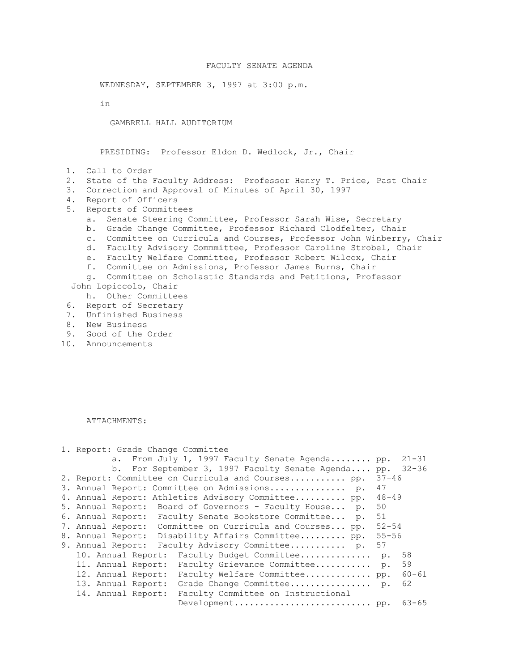## FACULTY SENATE AGENDA

WEDNESDAY, SEPTEMBER 3, 1997 at 3:00 p.m.

in

GAMBRELL HALL AUDITORIUM

PRESIDING: Professor Eldon D. Wedlock, Jr., Chair

- 1. Call to Order
- 2. State of the Faculty Address: Professor Henry T. Price, Past Chair
- 3. Correction and Approval of Minutes of April 30, 1997
- 4. Report of Officers
- 5. Reports of Committees
	- a. Senate Steering Committee, Professor Sarah Wise, Secretary
	- b. Grade Change Committee, Professor Richard Clodfelter, Chair
	- c. Committee on Curricula and Courses, Professor John Winberry, Chair
	- d. Faculty Advisory Commmittee, Professor Caroline Strobel, Chair
	- e. Faculty Welfare Committee, Professor Robert Wilcox, Chair
	- f. Committee on Admissions, Professor James Burns, Chair
- g. Committee on Scholastic Standards and Petitions, Professor John Lopiccolo, Chair
	- h. Other Committees
- 6. Report of Secretary
- 7. Unfinished Business
- 8. New Business
- 9. Good of the Order
- 10. Announcements

## ATTACHMENTS:

| 1. Report: Grade Change Committee<br>From July 1, 1997 Faculty Senate Agenda<br>a. | pp.       | $21 - 31$ |
|------------------------------------------------------------------------------------|-----------|-----------|
| b. For September 3, 1997 Faculty Senate Agenda                                     | pp.       | $32 - 36$ |
| 2. Report: Committee on Curricula and Courses pp.                                  | $37 - 46$ |           |
| 3. Annual Report: Committee on Admissions p.                                       | 47        |           |
| 4. Annual Report: Athletics Advisory Committee pp.                                 | $48 - 49$ |           |
| 5. Annual Report: Board of Governors - Faculty House p.                            | 50        |           |
| 6. Annual Report: Faculty Senate Bookstore Committee p.                            | 51        |           |
| 7. Annual Report: Committee on Curricula and Courses pp.                           | $52 - 54$ |           |
| 8. Annual Report: Disability Affairs Committee pp.                                 | $55 - 56$ |           |
| 9. Annual Report: Faculty Advisory Committee p.                                    | 57        |           |
| 10. Annual Report:<br>Faculty Budget Committee                                     | р.        | 58        |
| Faculty Grievance Committee p.<br>11. Annual Report:                               |           | 59        |
| 12. Annual Report:<br>Faculty Welfare Committee pp.                                |           | $60 - 61$ |
| 13. Annual Report:<br>Grade Change Committee p.                                    |           | 62        |
| Faculty Committee on Instructional<br>14. Annual Report:                           |           |           |
|                                                                                    |           | $63 - 65$ |